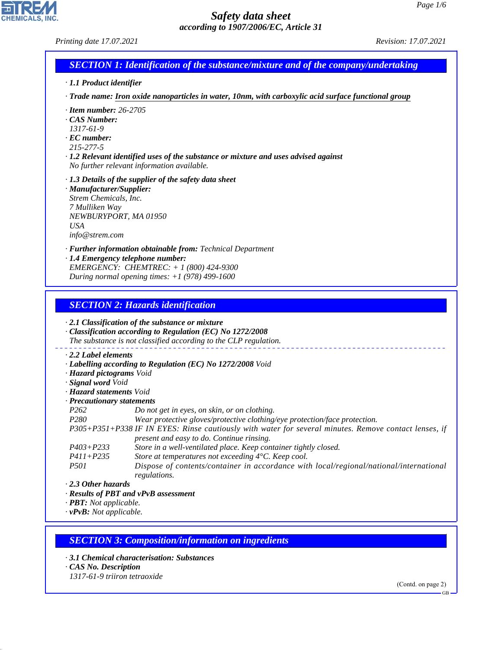*Printing date 17.07.2021 Revision: 17.07.2021*

# *SECTION 1: Identification of the substance/mixture and of the company/undertaking*

- *· 1.1 Product identifier*
- *· Trade name: Iron oxide nanoparticles in water, 10nm, with carboxylic acid surface functional group*
- *· Item number: 26-2705*
- *· CAS Number:*
- *1317-61-9*
- *· EC number:*
- *215-277-5*
- *· 1.2 Relevant identified uses of the substance or mixture and uses advised against No further relevant information available.*
- *· 1.3 Details of the supplier of the safety data sheet*
- *· Manufacturer/Supplier: Strem Chemicals, Inc. 7 Mulliken Way NEWBURYPORT, MA 01950 USA info@strem.com*
- *· Further information obtainable from: Technical Department*
- *· 1.4 Emergency telephone number: EMERGENCY: CHEMTREC: + 1 (800) 424-9300 During normal opening times: +1 (978) 499-1600*

### *SECTION 2: Hazards identification*

*· 2.1 Classification of the substance or mixture*

*· Classification according to Regulation (EC) No 1272/2008 The substance is not classified according to the CLP regulation.*

- *· 2.2 Label elements*
- *· Labelling according to Regulation (EC) No 1272/2008 Void*
- *· Hazard pictograms Void*
- *· Signal word Void*
- *· Hazard statements Void*
- *· Precautionary statements*
- *P262 Do not get in eyes, on skin, or on clothing.*
- *P280 Wear protective gloves/protective clothing/eye protection/face protection.*
- *P305+P351+P338 IF IN EYES: Rinse cautiously with water for several minutes. Remove contact lenses, if present and easy to do. Continue rinsing.*
- *P403+P233 Store in a well-ventilated place. Keep container tightly closed.*
- *P411+P235 Store at temperatures not exceeding 4°C. Keep cool.*
- *P501 Dispose of contents/container in accordance with local/regional/national/international regulations.*

*· 2.3 Other hazards*

*· Results of PBT and vPvB assessment*

*· PBT: Not applicable.*

*· vPvB: Not applicable.*

### *SECTION 3: Composition/information on ingredients*

- *· 3.1 Chemical characterisation: Substances*
- *· CAS No. Description*

44.1.1

*1317-61-9 triiron tetraoxide*

(Contd. on page 2)

GB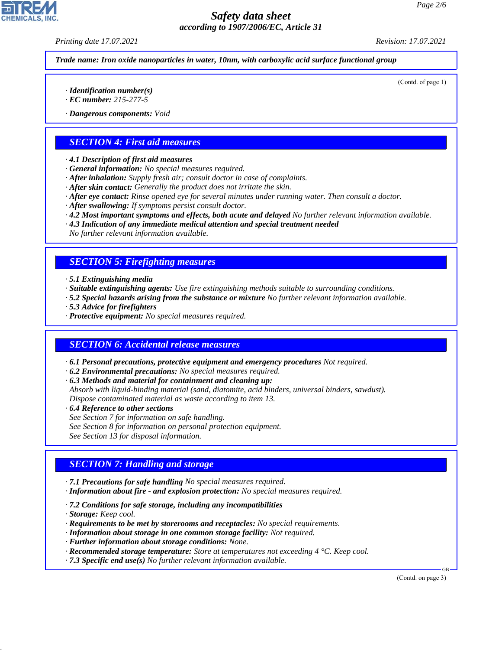*Printing date 17.07.2021 Revision: 17.07.2021*

*Trade name: Iron oxide nanoparticles in water, 10nm, with carboxylic acid surface functional group*

(Contd. of page 1)

- *· Identification number(s)*
- *· EC number: 215-277-5*
- *· Dangerous components: Void*

## *SECTION 4: First aid measures*

- *· 4.1 Description of first aid measures*
- *· General information: No special measures required.*
- *· After inhalation: Supply fresh air; consult doctor in case of complaints.*
- *· After skin contact: Generally the product does not irritate the skin.*
- *· After eye contact: Rinse opened eye for several minutes under running water. Then consult a doctor.*
- *· After swallowing: If symptoms persist consult doctor.*
- *· 4.2 Most important symptoms and effects, both acute and delayed No further relevant information available.*
- *· 4.3 Indication of any immediate medical attention and special treatment needed*

*No further relevant information available.*

### *SECTION 5: Firefighting measures*

- *· 5.1 Extinguishing media*
- *· Suitable extinguishing agents: Use fire extinguishing methods suitable to surrounding conditions.*
- *· 5.2 Special hazards arising from the substance or mixture No further relevant information available.*
- *· 5.3 Advice for firefighters*
- *· Protective equipment: No special measures required.*

### *SECTION 6: Accidental release measures*

- *· 6.1 Personal precautions, protective equipment and emergency procedures Not required.*
- *· 6.2 Environmental precautions: No special measures required.*
- *· 6.3 Methods and material for containment and cleaning up:*
- *Absorb with liquid-binding material (sand, diatomite, acid binders, universal binders, sawdust). Dispose contaminated material as waste according to item 13.*
- *· 6.4 Reference to other sections*
- *See Section 7 for information on safe handling.*
- *See Section 8 for information on personal protection equipment.*
- *See Section 13 for disposal information.*

## *SECTION 7: Handling and storage*

- *· 7.1 Precautions for safe handling No special measures required.*
- *· Information about fire and explosion protection: No special measures required.*
- *· 7.2 Conditions for safe storage, including any incompatibilities*
- *· Storage: Keep cool.*

44.1.1

- *· Requirements to be met by storerooms and receptacles: No special requirements.*
- *· Information about storage in one common storage facility: Not required.*
- *· Further information about storage conditions: None.*
- *· Recommended storage temperature: Store at temperatures not exceeding 4 °C. Keep cool.*
- *· 7.3 Specific end use(s) No further relevant information available.*

(Contd. on page 3)

GB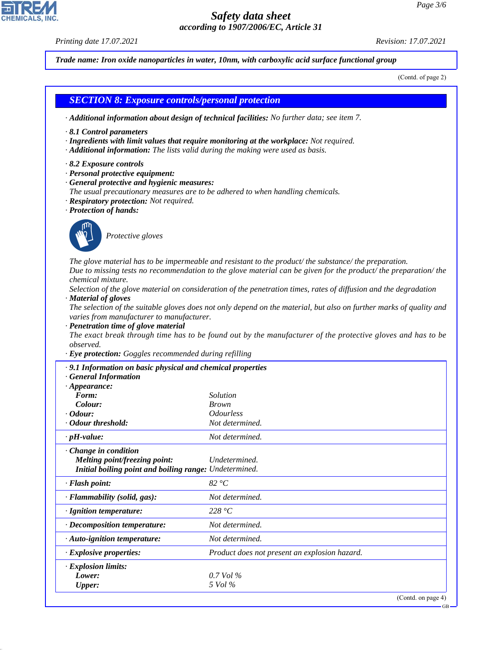*Printing date 17.07.2021 Revision: 17.07.2021*

44.1.1

*Trade name: Iron oxide nanoparticles in water, 10nm, with carboxylic acid surface functional group*

(Contd. of page 2)

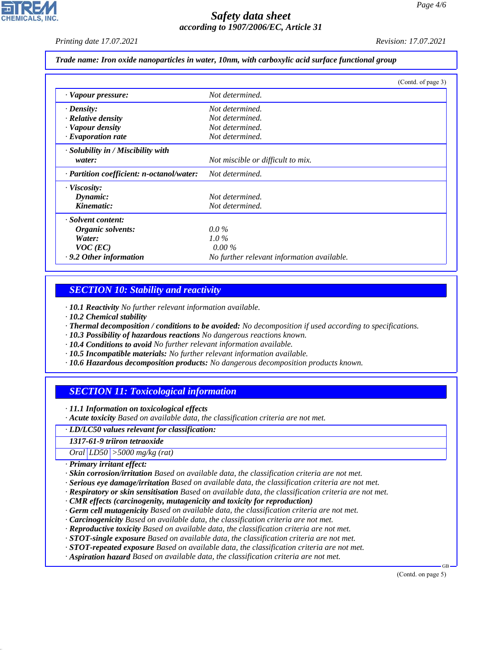*Printing date 17.07.2021 Revision: 17.07.2021*

*Trade name: Iron oxide nanoparticles in water, 10nm, with carboxylic acid surface functional group*

|                                           | (Contd. of page 3)                         |
|-------------------------------------------|--------------------------------------------|
| · Vapour pressure:                        | Not determined.                            |
| $\cdot$ Density:                          | Not determined.                            |
| $\cdot$ Relative density                  | Not determined.                            |
| · Vapour density                          | Not determined.                            |
| $\cdot$ Evaporation rate                  | Not determined.                            |
| $\cdot$ Solubility in / Miscibility with  |                                            |
| water:                                    | Not miscible or difficult to mix.          |
| · Partition coefficient: n-octanol/water: | Not determined.                            |
| · Viscosity:                              |                                            |
| Dynamic:                                  | Not determined.                            |
| Kinematic:                                | Not determined.                            |
| · Solvent content:                        |                                            |
| Organic solvents:                         | $0.0\%$                                    |
| Water:                                    | $1.0\%$                                    |
| $VOC$ (EC)                                | $0.00\%$                                   |
| $\cdot$ 9.2 Other information             | No further relevant information available. |

### *SECTION 10: Stability and reactivity*

*· 10.1 Reactivity No further relevant information available.*

- *· 10.2 Chemical stability*
- *· Thermal decomposition / conditions to be avoided: No decomposition if used according to specifications.*
- *· 10.3 Possibility of hazardous reactions No dangerous reactions known.*
- *· 10.4 Conditions to avoid No further relevant information available.*
- *· 10.5 Incompatible materials: No further relevant information available.*
- *· 10.6 Hazardous decomposition products: No dangerous decomposition products known.*

## *SECTION 11: Toxicological information*

*· 11.1 Information on toxicological effects*

*· Acute toxicity Based on available data, the classification criteria are not met.*

*· LD/LC50 values relevant for classification:*

*1317-61-9 triiron tetraoxide*

*Oral LD50 >5000 mg/kg (rat)*

*· Primary irritant effect:*

44.1.1

- *· Skin corrosion/irritation Based on available data, the classification criteria are not met.*
- *· Serious eye damage/irritation Based on available data, the classification criteria are not met.*
- *· Respiratory or skin sensitisation Based on available data, the classification criteria are not met.*
- *· CMR effects (carcinogenity, mutagenicity and toxicity for reproduction)*
- *· Germ cell mutagenicity Based on available data, the classification criteria are not met.*
- *· Carcinogenicity Based on available data, the classification criteria are not met.*
- *· Reproductive toxicity Based on available data, the classification criteria are not met.*
- *· STOT-single exposure Based on available data, the classification criteria are not met.*
- *· STOT-repeated exposure Based on available data, the classification criteria are not met.*
- *· Aspiration hazard Based on available data, the classification criteria are not met.*

(Contd. on page 5)

GB

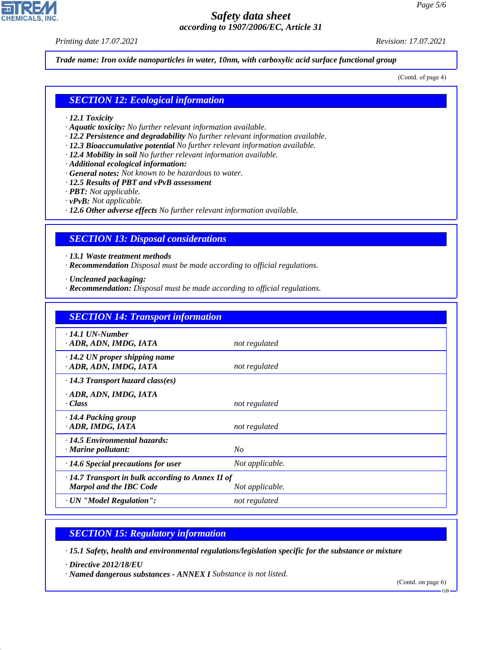*Printing date 17.07.2021 Revision: 17.07.2021*

**CHEMICALS, INC** 

*Trade name: Iron oxide nanoparticles in water, 10nm, with carboxylic acid surface functional group*

(Contd. of page 4)

#### *SECTION 12: Ecological information*

- *· 12.1 Toxicity*
- *· Aquatic toxicity: No further relevant information available.*
- *· 12.2 Persistence and degradability No further relevant information available.*
- *· 12.3 Bioaccumulative potential No further relevant information available.*
- *· 12.4 Mobility in soil No further relevant information available.*
- *· Additional ecological information:*
- *· General notes: Not known to be hazardous to water.*
- *· 12.5 Results of PBT and vPvB assessment*
- *· PBT: Not applicable.*
- *· vPvB: Not applicable.*
- *· 12.6 Other adverse effects No further relevant information available.*

#### *SECTION 13: Disposal considerations*

*· 13.1 Waste treatment methods*

*· Recommendation Disposal must be made according to official regulations.*

*· Uncleaned packaging:*

*· Recommendation: Disposal must be made according to official regulations.*

| <b>SECTION 14: Transport information</b>                                                                     |                 |
|--------------------------------------------------------------------------------------------------------------|-----------------|
| $\cdot$ 14.1 UN-Number<br>· ADR, ADN, IMDG, IATA                                                             | not regulated   |
| $\cdot$ 14.2 UN proper shipping name<br>· ADR, ADN, IMDG, IATA                                               | not regulated   |
| $\cdot$ 14.3 Transport hazard class(es)                                                                      |                 |
| · ADR, ADN, IMDG, IATA<br>· Class                                                                            | not regulated   |
| $\cdot$ 14.4 Packing group<br>· ADR, IMDG, IATA                                                              | not regulated   |
| · 14.5 Environmental hazards:<br>$\cdot$ Marine pollutant:                                                   | No              |
| $\cdot$ 14.6 Special precautions for user                                                                    | Not applicable. |
| $\cdot$ 14.7 Transport in bulk according to Annex II of<br><b>Marpol and the IBC Code</b><br>Not applicable. |                 |
| · UN "Model Regulation":                                                                                     | not regulated   |

#### *SECTION 15: Regulatory information*

*· 15.1 Safety, health and environmental regulations/legislation specific for the substance or mixture*

*· Directive 2012/18/EU*

44.1.1

*· Named dangerous substances - ANNEX I Substance is not listed.*

(Contd. on page 6)

GB